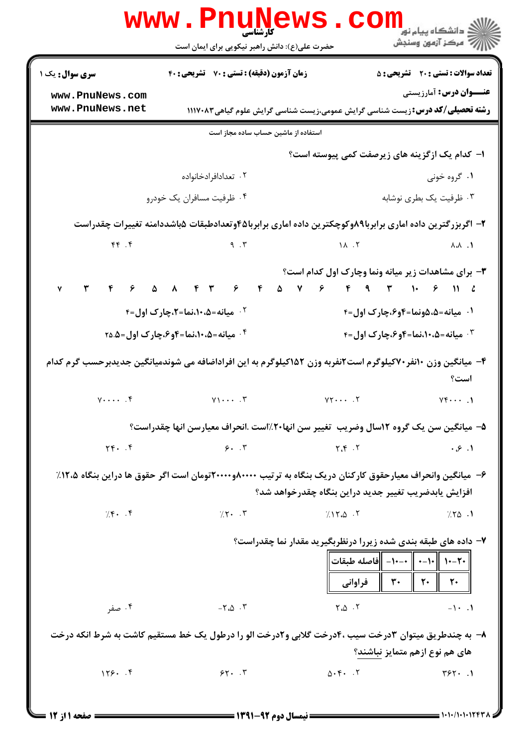|                                                                                                                                                                         | <b>www.Pnunews</b><br>کارشناسی<br>حضرت علی(ع): دانش راهبر نیکویی برای ایمان است |                                                                                                                                                  | ر دانشڪاه پيام نور ■<br>// مرکز آزمون وسنڊش  |  |
|-------------------------------------------------------------------------------------------------------------------------------------------------------------------------|---------------------------------------------------------------------------------|--------------------------------------------------------------------------------------------------------------------------------------------------|----------------------------------------------|--|
| سری سوال: یک ۱                                                                                                                                                          | زمان آزمون (دقیقه) : تستی : 70 گشریحی : 40                                      |                                                                                                                                                  | <b>تعداد سوالات : تستی : 20 - تشریحی : 5</b> |  |
| www.PnuNews.com                                                                                                                                                         |                                                                                 |                                                                                                                                                  | <b>عنـــوان درس:</b> آمارزیستی               |  |
| www.PnuNews.net                                                                                                                                                         |                                                                                 | <b>رشته تحصیلی/کد درس:</b> زیست شناسی گرایش عمومی،زیست شناسی گرایش علوم گیاهی۱۱۱۷۰۸۳                                                             |                                              |  |
|                                                                                                                                                                         | استفاده از ماشین حساب ساده مجاز است                                             |                                                                                                                                                  |                                              |  |
|                                                                                                                                                                         |                                                                                 | ا– کدام یک ازگزینه های زیرصفت کمی پیوسته است؟                                                                                                    |                                              |  |
|                                                                                                                                                                         | ۰۲ تعدادافرادخانواده                                                            |                                                                                                                                                  | ۰۱ گروه خونی                                 |  |
|                                                                                                                                                                         | ۰۴ ظرفیت مسافران یک خودرو                                                       |                                                                                                                                                  | ۰۳ ظرفیت یک بطری نوشابه                      |  |
|                                                                                                                                                                         |                                                                                 | ۲- اگربزرگترین داده اماری برابربا۸۹وکوچکترین داده اماری برابربا۴۵وتعدادطبقات ۵باشددامنه تغییرات چقدراست                                          |                                              |  |
| $f \cdot f$                                                                                                                                                             | 9.7                                                                             | $\Lambda$ . T                                                                                                                                    | ለ.ለ ነ                                        |  |
|                                                                                                                                                                         |                                                                                 | <b>۳</b> - برای مشاهدات زیر میانه ونما وچارک اول کدام است؟                                                                                       |                                              |  |
| $V$ $V$ $P$ $S$ $\Delta$ $\Lambda$ $P$ $V$                                                                                                                              |                                                                                 | 9 9 0 19<br>$F$ $9$ $F$ $1$ $9$ $11$ $2$                                                                                                         |                                              |  |
|                                                                                                                                                                         | ۰ <sup>۲</sup> میانه=۰۵،۱۰،نما=۲،چارک اول=۴                                     | ۰۱ میانه=۵،۵ونما=۴و۶،چارک اول=۴                                                                                                                  |                                              |  |
|                                                                                                                                                                         | ۰۴ میانه=۰۵،۱۰،نما=۴و۶،چارک اول=۰۵                                              | ۰۳ میانه=۰۰۵،نما=۴و۶،چارک اول=۴                                                                                                                  |                                              |  |
|                                                                                                                                                                         |                                                                                 | ۴– میانگین وزن ۱۰نفر۷۰کیلوگرم است۲نفربه وزن ۱۵۲کیلوگرم به این افراداضافه می شوندمیانگین جدیدبرحسب گرم کدام                                       | است؟                                         |  |
| $Y \cdot \cdot \cdot \cdot$ . ۴                                                                                                                                         | $Y \cup \cdots \cup Y$                                                          | $YY \cdot \cdot \cdot$ .                                                                                                                         | $Y \cdot \cdot \cdot$ .                      |  |
|                                                                                                                                                                         |                                                                                 | ۵– میانگین سن یک گروه ۱۲سال وضریب ِ تغییر سن انها۲۰٪است .انحراف معیارسن انها چقدراست؟                                                            |                                              |  |
| $Y \cdot \cdot \cdot$                                                                                                                                                   | 9.7                                                                             | $Y. \varphi Y$                                                                                                                                   | .8.1                                         |  |
| ۶–  میانگین وانحراف معیارحقوق کارکنان در یک بنگاه به تر تیب ۸۰۰۰۰۸و۲۰۰۰۰تومان است اگر حقوق ها دراین بنگاه ۱۲،۵٪<br>افزايش يابدضريب تغيير جديد دراين بنگاه چقدرخواهد شد؟ |                                                                                 |                                                                                                                                                  |                                              |  |
| 7.5.7                                                                                                                                                                   | 7.5.7                                                                           | $7.150 + 5$                                                                                                                                      | 7.50.1                                       |  |
|                                                                                                                                                                         |                                                                                 | ۷– داده های طبقه بندی شده زیررا درنظربگیرید مقدار نما چقدراست؟<br>-٢٠-١٠   ١٠-٠    --١٠-   فاصله طبقات  <br>ا ۲۰    ۳۰    فراوانی $\parallel$ ۲۰ | 20                                           |  |
| ۰۴ صفر                                                                                                                                                                  | $-\mathsf{Y}.\Delta \cdot \mathsf{Y}$                                           | $\Gamma_{c}\Delta$ .                                                                                                                             | $-1 \cdot .1$                                |  |
| ۸– به چندطریق میتوان ۳درخت سیب ،۴درخت گلابی و۲درخت الو را درطول یک خط مستقیم کاشت به شرط انکه درخت<br>های هم نوع ازهم متمایز نباشند؟                                    |                                                                                 |                                                                                                                                                  |                                              |  |
| $159.$ $\sqrt{9}$                                                                                                                                                       | 55.7                                                                            | $\Delta \cdot \mathbf{F} \cdot \cdot \cdot \mathbf{V}$                                                                                           | $Y5Y - 1$                                    |  |
| = صفحه ۱۱: ۱۲                                                                                                                                                           | ــــــــــــ نیمسال دوم ۹۲-۱۳۹۱ ــــــــــ                                      |                                                                                                                                                  | i 1010/10101243                              |  |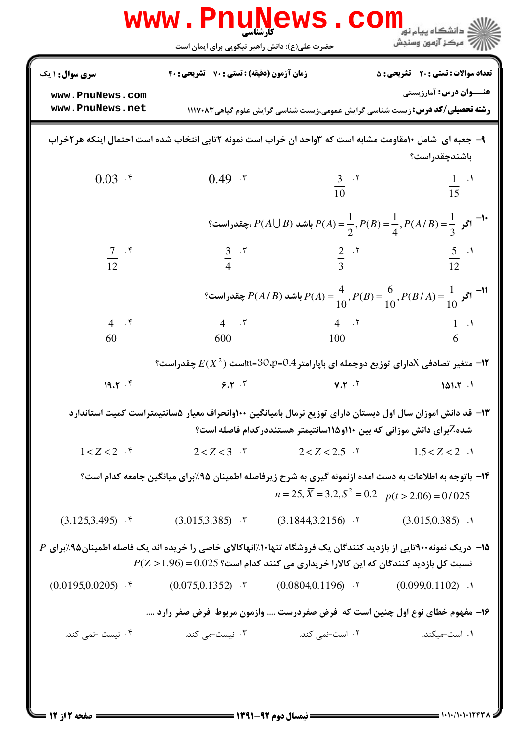|                                                                                                                                                                                  | <b>www.PnuN</b><br>کارشناسی<br>حضرت علی(ع): دانش راهبر نیکویی برای ایمان است                                                                                                                                                      | <b>ews.con</b>                                                      | د دانشگاه پيام نو <b>ر</b><br>رِ ۖ مرڪز آزمون وسنڊش                                                                       |  |
|----------------------------------------------------------------------------------------------------------------------------------------------------------------------------------|-----------------------------------------------------------------------------------------------------------------------------------------------------------------------------------------------------------------------------------|---------------------------------------------------------------------|---------------------------------------------------------------------------------------------------------------------------|--|
| <b>سری سوال : ۱ یک</b>                                                                                                                                                           | <b>زمان آزمون (دقیقه) : تستی : 70 ٪ تشریحی : 40</b>                                                                                                                                                                               |                                                                     | <b>تعداد سوالات : تستی : 20 قشریحی : 5</b>                                                                                |  |
| www.PnuNews.com<br>www.PnuNews.net                                                                                                                                               |                                                                                                                                                                                                                                   |                                                                     | <b>عنـــوان درس:</b> آمارزیستی<br><b>رشته تحصیلی/کد درس:</b> زیست شناسی گرایش عمومی،زیست شناسی گرایش علوم گیاهی۱۱۱۷۰۸۳    |  |
|                                                                                                                                                                                  | ۹- جعبه ای شامل ۱۰مقاومت مشابه است که ۳واحد ان خراب است نمونه ۲تایی انتخاب شده است احتمال اینکه هر۲خراب                                                                                                                           |                                                                     | باشندچقدراست؟                                                                                                             |  |
| $0.03$ f                                                                                                                                                                         | $0.49$ $.7$                                                                                                                                                                                                                       | $\frac{3}{10}$ . T                                                  | $rac{1}{15}$ $\cdot$ <sup>1</sup>                                                                                         |  |
|                                                                                                                                                                                  |                                                                                                                                                                                                                                   |                                                                     | $P(A \cup B)$ باشد $P(A \cup B)$ ، چقدراست $P(A) = \frac{1}{2}, P(B) = \frac{1}{4}, P(A \setminus B) = \frac{1}{3}$       |  |
| $rac{7}{12}$ . f                                                                                                                                                                 | $\frac{3}{4}$ . r                                                                                                                                                                                                                 | $rac{2}{3}$ . T                                                     | $\frac{5}{12}$ .                                                                                                          |  |
|                                                                                                                                                                                  |                                                                                                                                                                                                                                   |                                                                     | 9 اگر $P(A/B)$ باشد $P(A) = \frac{4}{10}$ , $P(B) = \frac{6}{10}$ , $P(B/A) = \frac{1}{10}$ جقدراست $P(A) = \frac{1}{10}$ |  |
| $rac{4}{60}$ . f                                                                                                                                                                 | $\frac{4}{600}$ . \vertifical \vertifical \vertifical \vertifical \vertifical \vertifical \vertifical \vertifical \vertifical \vertifical \vertifical \vertifical \vertifical \vertifical \vertifical \vertifical \vertifical \ve | $\frac{4}{100}$ . T                                                 | $\frac{1}{6}$ $\frac{1}{6}$                                                                                               |  |
| ۱۲− متغیر تصادفی $X$ دارای توزیع دوجمله ای باپارامتر 0.4−11=30 است ( $E(X^{\,2})$ چقدراست؟                                                                                       |                                                                                                                                                                                                                                   |                                                                     |                                                                                                                           |  |
| 19.7.7                                                                                                                                                                           | 9.7.7                                                                                                                                                                                                                             | $V \cdot V$                                                         | 101.7.1                                                                                                                   |  |
| ۱۳– قد دانش اموزان سال اول دبستان دارای توزیع نرمال بامیانگین ۱۰۰وانحراف معیار ۵سانتیمتراست کمیت استاندارد<br>شدهZبرای دانش موزانی که بین ۱۱۰و۱۱۵سانتیمتر هستنددرکدام فاصله است؟ |                                                                                                                                                                                                                                   |                                                                     |                                                                                                                           |  |
| $1 < Z < 2$ .                                                                                                                                                                    |                                                                                                                                                                                                                                   | $2 < Z < 3$ . T $2 < Z < 2.5$ . T $1.5 < Z < 2$ .                   |                                                                                                                           |  |
|                                                                                                                                                                                  | ۱۴– باتوجه به اطلاعات به دست امده ازنمونه گیری به شرح زیرفاصله اطمینان ۹۵٪برای میانگین جامعه کدام است؟                                                                                                                            | $n = 25$ , $\overline{X} = 3.2$ , $S^2 = 0.2$ $p(t > 2.06) = 0/025$ |                                                                                                                           |  |
|                                                                                                                                                                                  | $(3.125,3.495)$ f $(3.015,3.385)$ f $(3.1844,3.2156)$ f $(3.015,0.385)$ 1                                                                                                                                                         |                                                                     |                                                                                                                           |  |
|                                                                                                                                                                                  | ۱۵− دریک نمونه۹۰۰تایی از بازدید کنندگان یک فروشگاه تنها۱٬۱۰انهاکالای خاصی را خریده اند یک فاصله اطمینان۹۵٪برای P<br>$P(Z > 1.96) = 0.025$ نسبت کل بازدید کنندگان که این کالارا خریداری می کنند کدام است؟                          |                                                                     |                                                                                                                           |  |
|                                                                                                                                                                                  | $(0.0195, 0.0205)$ f $(0.075, 0.1352)$ f $(0.0804, 0.1196)$ f $(0.099, 0.1102)$ 1                                                                                                                                                 |                                                                     |                                                                                                                           |  |
|                                                                                                                                                                                  | ۱۶- مفهوم خطای نوع اول چنین است که ًفرض صفردرست  وازمون مربوط ً فرض صفر رارد                                                                                                                                                      |                                                                     |                                                                                                                           |  |
| ۰۴ نیست -نمی کند.                                                                                                                                                                |                                                                                                                                                                                                                                   |                                                                     |                                                                                                                           |  |
|                                                                                                                                                                                  |                                                                                                                                                                                                                                   |                                                                     |                                                                                                                           |  |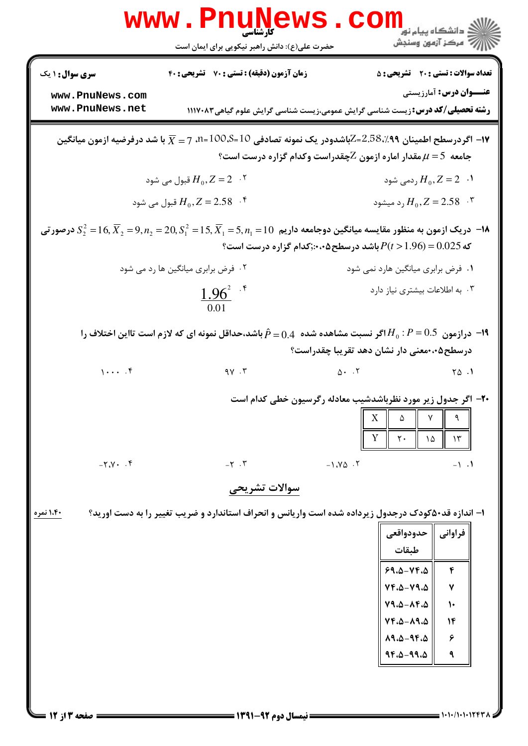|                                         | <b>WWW.PNUN</b><br>کارشناسی<br>حضرت علی(ع): دانش راهبر نیکویی برای ایمان است                                                                      | WS.CO        | لاد دانشڪاه پيام نور <mark>- -</mark><br>  <i>  &gt;</i> مرکز آزمون وسنڊش                                                                                                                                   |
|-----------------------------------------|---------------------------------------------------------------------------------------------------------------------------------------------------|--------------|-------------------------------------------------------------------------------------------------------------------------------------------------------------------------------------------------------------|
| <b>سری سوال : ۱ یک</b>                  | زمان آزمون (دقیقه) : تستی : 70 گشریحی : 40                                                                                                        |              | <b>تعداد سوالات : تستی : 20 ٪ تشریحی : 5</b>                                                                                                                                                                |
| www.PnuNews.com<br>www.PnuNews.net      |                                                                                                                                                   |              | <b>عنـــوان درس:</b> آمارزیستی<br><b>رشته تحصیلی/کد درس:</b> زیست شناسی گرایش عمومی،زیست شناسی گرایش علوم گیاهی۱۱۱۷۰۸۳                                                                                      |
|                                         | ا— اگردرسطح اطمینان ۹۹٪، $Z$ 2.58- $Z$ باشدودر یک نمونه تصادفی 10- $\Sigma$ 10-1، 7 $\overline{X} = 7$ با شد درفرضیه ازمون میانگین $\overline{X}$ |              | جامعه $\tau=1$ مقدار اماره ازمون $Z$ چقدراست وکدام گزاره درست است؟                                                                                                                                          |
|                                         | قبول می شود $H_0, Z=2$ $\,$ . $\,$                                                                                                                |              | ردمی شود $H_0, Z=2$ $\,$ ۰۱ $\,$                                                                                                                                                                            |
|                                         | قبول می شود $H_0$ , $Z$ = 2.58 $\,$ . $^{\circ}$                                                                                                  |              | رد میشود $H_0, Z$ = 2.58 $^{\circ}$ . ۲                                                                                                                                                                     |
|                                         | دریک ازمون به منظور مقایسه میانگین دوجامعه داریم $10$ = 5, $\overline{X}_1$ = 5, $n=20,$ $S_2^2=16,$ درصور تی $\sim$ -1۸ $\sim$                   |              | گه 0.025 = (1.96 / 1.96 باشد درسطح۱۰٬۰۵۵ من:(که 1.95 است؟                                                                                                                                                   |
|                                         | ۰۲ فرض برابری میانگین ها رد می شود                                                                                                                |              | ۰۱ فرض برابری میانگین هارد نمی شود                                                                                                                                                                          |
|                                         | $\frac{1.96^2}{0.01}$ .*                                                                                                                          |              | ۰۳ به اطلاعات بیشتری نیاز دارد                                                                                                                                                                              |
|                                         | درازمون $0.5$ $P=0.5$ اگر نسبت مشاهده شده $\hat{P}=0.4$ باشد،حداقل نمونه ای که لازم است تااین اختلاف را $\blacksquare$                            |              | درسطح۰٬۰۵معنی دار نشان دهد تقریبا چقدراست؟                                                                                                                                                                  |
| $1 \cdots$ . $f$                        | $9V \cdot V$                                                                                                                                      | $\Delta$ . T | $\Upsilon \Delta$ .                                                                                                                                                                                         |
|                                         |                                                                                                                                                   | X<br>Y       | ۲۰- اگر جدول زیر مورد نظرباشدشیب معادله رگرسیون خطی کدام است<br>٩<br>٧<br>۵<br>$\mathsf{r}$ .<br>۱۵<br>$\gamma$                                                                                             |
| $-\gamma \cdot \gamma \cdot$ . $\gamma$ | $-\tau$ . $\tau$                                                                                                                                  | $-1.90$ .    | $-1$ $\cdot$                                                                                                                                                                                                |
|                                         | سوالات تشريحى                                                                                                                                     |              |                                                                                                                                                                                                             |
| ۱،۴۰ نمره                               | ۱– اندازه قد۵۰کودک درجدول زیرداده شده است واریانس و انحراف استاندارد و ضریب تغییر را به دست اورید؟                                                |              | فراوانى    حدودواقعى<br>طبقات<br>$99.0 - VF.0$<br>۴<br>$VFA-VA.A$<br>٧<br>$V9.0 - \lambda 6.0$<br>$\mathcal{L}$<br>$Vf.\Delta-\Lambda9.\Delta$<br>$\mathcal{N}$<br>۶<br>$19.0 - 97.0$<br>$9F.0 - 99.0$<br>٩ |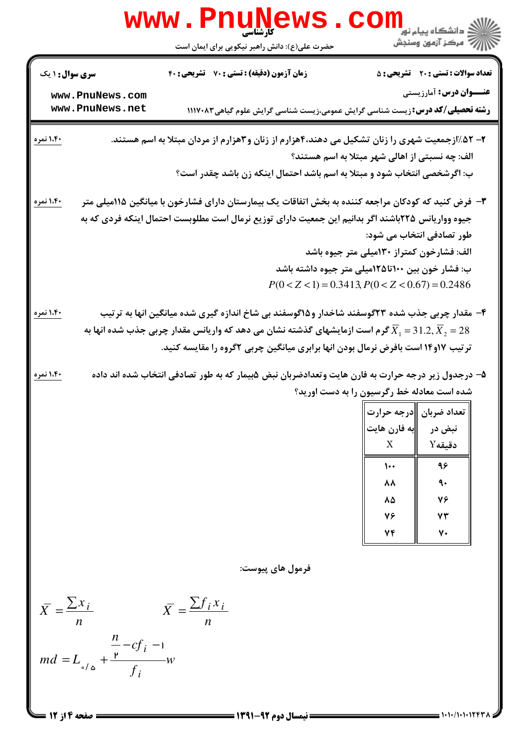|                                                                                                                                                              | WWW.PILUI<br>حضرت علی(ع): دانش راهبر نیکویی برای ایمان است                                                                                                                                                                                                                                                |                                              | <mark>د</mark> دانشگاه پيام نو <mark>ر</mark><br>ب <sup>ہ</sup> مرڪز آزمون وسنجش |  |
|--------------------------------------------------------------------------------------------------------------------------------------------------------------|-----------------------------------------------------------------------------------------------------------------------------------------------------------------------------------------------------------------------------------------------------------------------------------------------------------|----------------------------------------------|----------------------------------------------------------------------------------|--|
| <b>سری سوال : ۱ یک</b>                                                                                                                                       | زمان آزمون (دقیقه) : تستی : 70 ٪ تشریحی : 40                                                                                                                                                                                                                                                              |                                              | <b>تعداد سوالات : تستی : 20 ٪ تشریحی : 5</b>                                     |  |
| www.PnuNews.com<br>www.PnuNews.net                                                                                                                           | <b>رشته تحصیلی/کد درس:</b> زیست شناسی گرایش عمومی،زیست شناسی گرایش علوم گیاهی۱۱۱۷۰۸۳                                                                                                                                                                                                                      |                                              | <b>عنـــوان درس:</b> آمارزیستی                                                   |  |
| ۱،۴۰ نمره                                                                                                                                                    | ۲– ۵۲٪ازجمعیت شهری را زنان تشکیل می دهند،۴هزارم از زنان و۳هزارم از مردان مبتلا به اسم هستند.<br>الف: چه نسبتی از اهالی شهر مبتلا به اسم هستند؟<br>ب: اگرشخصی انتخاب شود و مبتلا به اسم باشد احتمال اینکه زن باشد چقدر است؟                                                                                |                                              |                                                                                  |  |
| ۱،۴۰ نمره                                                                                                                                                    | ۳– فرض کنید که کودکان مراجعه کننده به بخش اتفاقات یک بیمارستان دارای فشارخون با میانگین ۱۱۵میلی متر<br>جیوه وواریانس ۲۲۵باشند اگر بدانیم این جمعیت دارای توزیع نرمال است مطلوبست احتمال اینکه فردی که به                                                                                                  |                                              | طور تصادفی انتخاب می شود:                                                        |  |
|                                                                                                                                                              | ب: فشار خون بین ۱۰۰تا۱۲۵۵میلی متر جیوه داشته باشد<br>$P(0 < Z < 1) = 0.3413, P(0 < Z < 0.67) = 0.2486$                                                                                                                                                                                                    | الف: فشارخون کمتراز ۱۳۰میلی متر جیوه باشد    |                                                                                  |  |
| ۱،۴۰ نمره                                                                                                                                                    | ۴– مقدار چربی جذب شده ۲۳گوسفند شاخدار و۱۵گوسفند بی شاخ اندازه گیری شده میانگین انها به ترتیب<br>گرم است ازمایشهای گذشته نشان می دهد که واریانس مقدار چربی جذب شده انها به $\overline{X}_1$ 51.2, $\overline{X}_2 = 28$<br>ترتیب ۱۷و۱۴ است بافرض نرمال بودن انها برابری میانگین چربی ۲گروه را مقایسه کنید. |                                              |                                                                                  |  |
| ۱،۴۰ نمره<br>۵– درجدول زیر درجه حرارت به فارن هایت وتعدادضربان نبض ۵بیمار که به طور تصادفی انتخاب شده اند داده<br>شده است معادله خط رگرسیون را به دست اورید؟ |                                                                                                                                                                                                                                                                                                           |                                              |                                                                                  |  |
|                                                                                                                                                              |                                                                                                                                                                                                                                                                                                           | تعداد ضربان   درجه حرارت  <br>  به فارن هایت | نبض در<br>دقیقهY                                                                 |  |
|                                                                                                                                                              |                                                                                                                                                                                                                                                                                                           | X<br>$\mathbf{L}$<br>88                      | ٩٦<br>٩.                                                                         |  |
|                                                                                                                                                              |                                                                                                                                                                                                                                                                                                           | 88<br>٧۶                                     | 76<br>YY                                                                         |  |
|                                                                                                                                                              | فرمول های پیوست:                                                                                                                                                                                                                                                                                          | ٧۴                                           | ٧٠                                                                               |  |
| $\overline{X} = \frac{\sum x_i}{\sum x_i}$<br>$\boldsymbol{n}$<br>$md = L_{\triangle/\triangle} + \frac{\frac{n}{p} - cf_i - 1}{f_i}w$                       | $\overline{X} = \frac{\sum f_i x_i}{\sum f_i x_i}$                                                                                                                                                                                                                                                        |                                              |                                                                                  |  |

 $: 1.1.11.1111$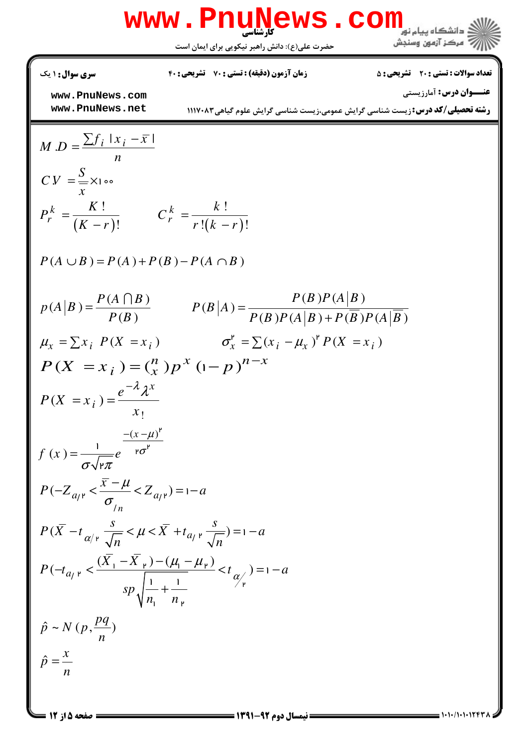

$$
P(-Z_{a_{f}P} < \frac{\overline{x} - \mu}{\sigma_{ln}} < Z_{a_{f}P}) = 1 - a
$$
  
\n
$$
P(\overline{X} - t_{\alpha/r} \frac{s}{\sqrt{n}} < \mu < \overline{X} + t_{a_{f}P} \frac{s}{\sqrt{n}}) = 1 - a
$$
  
\n
$$
P(-t_{a_{f}P} < \frac{(\overline{X}_{1} - \overline{X}_{P}) - (\mu_{1} - \mu_{P})}{\sqrt{n}} < t_{\alpha/r}) = 1 - a
$$

 $n_{\rm i}$  n

+

 $l_1$   $n_{\rm p}$ 

*sp*

$$
\hat{p} \sim N(p, \frac{pq}{n})
$$

$$
\hat{p} = \frac{x}{n}
$$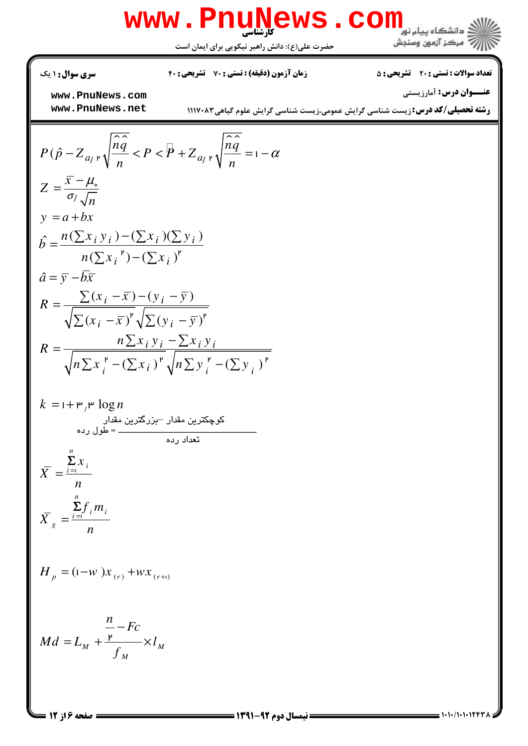

حضرت علي(ع): دانش راهبر نيكويي براي ايمان است

نعداد سوالات : تستي : 20 ٪ تشريحي : ۵ ٪ مسري سري مسري سري حي نوال (دقيقه) : تشريحي : 40 ٪ مسري سوال : 1 يک

**عنـــوان درس:** آمارزيستي

**[www.PnuNews.com](http://pnunews.com) [www.PnuNews.net](http://www.PnuNews.net)**

**رشته تحصیلی/کد درس:**زیست شناسی گرایش عمومی،زیست شناسی گرایش علوم گیاهی۱۱۱۷۰۸۳

$$
P(\hat{p} - Z_{a/r} \sqrt{\frac{\hat{n}\hat{q}}{n}} < P < P + Z_{a/r} \sqrt{\frac{\hat{n}\hat{q}}{n}} = 1 - \alpha
$$
\n
$$
Z = \frac{\overline{x} - \mu_{\circ}}{\sigma/\sqrt{n}}
$$
\n
$$
y = a + bx
$$
\n
$$
\hat{b} = \frac{n(\sum x_i y_i) - (\sum x_i)(\sum y_i)}{n(\sum x_i)^n - (\sum x_i)^n}
$$
\n
$$
\hat{a} = \overline{y} - b\overline{x}
$$
\n
$$
R = \frac{\sum (x_i - \overline{x}) - (y_i - \overline{y})}{\sqrt{\sum (x_i - \overline{x})^n} \sqrt{\sum (y_i - \overline{y})^n}}
$$
\n
$$
R = \frac{n \sum x_i y_i - \sum x_i y_i}{\sqrt{n \sum x_i^2 - (\sum x_i)^n} \sqrt{n \sum y_i^2 - (\sum y_i)^n}}
$$

$$
k = 1 + \mathbf{P}_{i} \mathbf{P} \log n
$$
  
\n
$$
\sum_{i=1}^{n} x_{i}
$$
  
\n
$$
\overline{X} = \frac{\sum_{i=1}^{n} x_{i}}{n}
$$
  
\n
$$
\overline{X}_{g} = \frac{\sum_{i=1}^{n} f_{i} m_{i}}{n}
$$

$$
H_p = (\mathbf{1} - w)x_{(r)} + wx_{(r+1)}
$$

$$
Md = L_M + \frac{\frac{n}{r} - Fc}{f_M} \times l_M
$$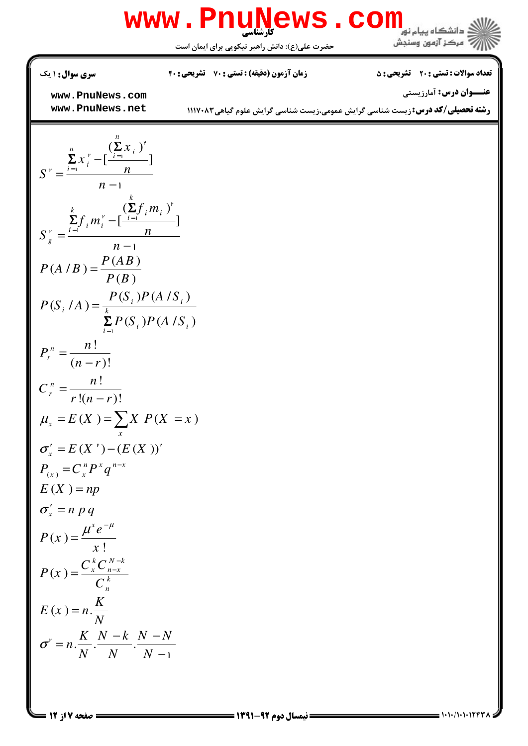

حضرت علي(ع): دانش راهبر نيكويي براي ايمان است

نعداد سوالات : تستي : 20 ٪ تشريحي : ۵ ٪ مسري سري مسري سري حي نوال (دقيقه) : تشريحي : 40 ٪ مسري سوال : 1 يک

**عنـــوان درس:** آمارزيستي

**[www.PnuNews.com](http://pnunews.com) [www.PnuNews.net](http://www.PnuNews.net)**

**رشته تحصیلی/کد درس:**زیست شناسی گرایش عمومی،زیست شناسی گرایش علوم گیاهی۱۱۱۷۰۸۳

$$
S^{\nu} = \frac{\sum_{i=1}^{n} x_i^{\nu} - [\frac{(\sum_{i=1}^{n} x_i)^{\nu}}{n}]}{n-1}
$$
  
\n
$$
S_g^{\nu} = \frac{\sum_{i=1}^{k} f_i m_i^{\nu} - [\frac{k}{i} f_i m_i^{\nu}}{n}]}{n-1}
$$
  
\n
$$
P(A/B) = \frac{P(AB)}{P(B)}
$$
  
\n
$$
P(S_i/A) = \frac{P(S_i)P(A/S_i)}{\sum_{i=1}^{k} P(S_i)P(A/S_i)}
$$
  
\n
$$
P_r^{\nu} = \frac{n!}{(n-r)!}
$$
  
\n
$$
C_r^{\nu} = \frac{n!}{r!(n-r)!}
$$
  
\n
$$
C_r^{\nu} = E(X) = \sum_{x} X P(X = x)
$$
  
\n
$$
\sigma_x^{\nu} = E(X^{\nu}) - (E(X))^{\nu}
$$
  
\n
$$
P_{(x)} = C_x^{\nu} P^x q^{\nu-x}
$$
  
\n
$$
E(X) = np
$$
  
\n
$$
\sigma_x^{\nu} = n p q
$$
  
\n
$$
P(x) = \frac{C_x^k C_{n-k}^{N-k}}{C_n^k}
$$
  
\n
$$
E(x) = n \cdot \frac{K}{N}
$$
  
\n
$$
\sigma^{\nu} = n \cdot \frac{K}{N} \cdot \frac{N - k}{N} \cdot \frac{N - N}{N - 1}
$$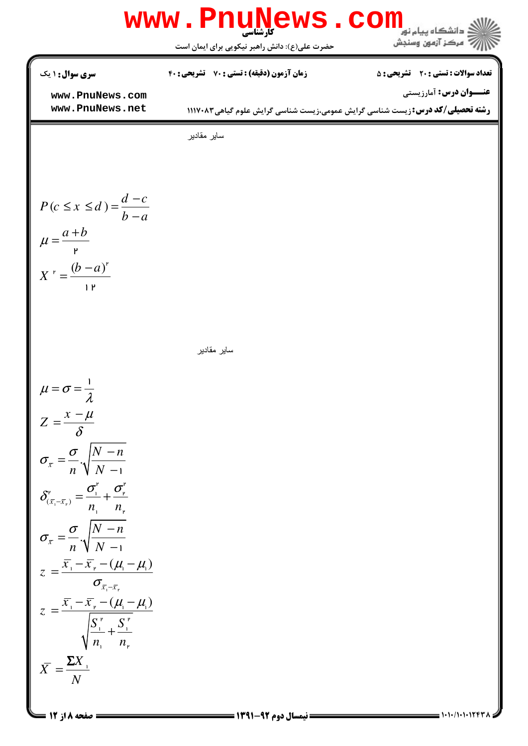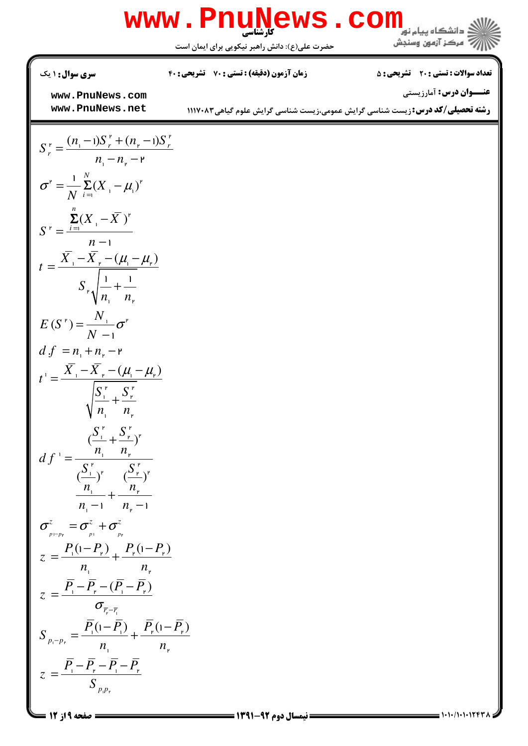

حضرت علي(ع): دانش راهبر نيكويي براي ايمان است

نعداد سوالات : تستي : 20 ٪ تشريحي : ۵ ٪ مسري سري مسري سري حي نوال (دقيقه) : تشريحي : 40 ٪ مسري سوال : 1 يک

**عنـــوان درس:** آمارزيستي

**[www.PnuNews.com](http://pnunews.com) [www.PnuNews.net](http://www.PnuNews.net)**

**رشته تحصیلی/کد درس:**زیست شناسی گرایش عمومی،زیست شناسی گرایش علوم گیاهی۱۱۱۷۰۸۳

$$
S_r^* = \frac{(n_1 - 1)S_r^* + (n_r - 1)S_r^*}{n_1 - n_r - r}
$$
  
\n
$$
\sigma^* = \frac{1}{N} \sum_{i=1}^N (X_i - \mu_i)^*
$$
  
\n
$$
S^* = \frac{\sum_{i=1}^n (X_i - \mu_i)^*}{n - 1}
$$
  
\n
$$
t = \frac{\overline{X_1} - \overline{X_r} - (\mu_i - \mu_r)}{S_r \sqrt{\frac{1}{n_1} + \frac{1}{n_r}}}
$$
  
\n
$$
E(S^*) = \frac{N_1}{N - 1} \sigma^*
$$
  
\n
$$
d f = n_1 + n_r - r
$$
  
\n
$$
t^* = \frac{\overline{X_1} - \overline{X_r} - (\mu_i - \mu_r)}{\sqrt{\frac{S_1^*}{n_1} + \frac{S_r^*}{n_r}}}
$$
  
\n
$$
d f^* = \frac{\frac{(S_1^* + S_r^*)^*}{(S_1^*)^*}}{\frac{(S_1^* + S_r^*)^*}{(S_r^*)^*}}
$$
  
\n
$$
d f^* = \frac{\frac{(S_1^* + S_r^*)^*}{(S_r^*)^*}}{\frac{(S_r^* + S_r^*)^*}{n_1 - 1} + \frac{n_r}{n_r}}
$$
  
\n
$$
z = \frac{P_1(1 - P_r) + P_r(1 - P_r)}{n_1 - 1}
$$
  
\n
$$
S_{p_1 - p_r} = \frac{\overline{P_1} - \overline{P_r} - (\overline{P_r} - \overline{P_r})}{\sigma_{\overline{r_r} - \overline{r_r}}}
$$
  
\n
$$
S_{p_1 - p_r} = \frac{\overline{P_r} - \overline{P_r} - \overline{P_r} - \overline{P_r}}{n_1 - n_r}
$$
  
\n
$$
z = \frac{\overline{P_r} - \overline{P_r} - \overline{P_r} - \overline{P_r}}{n_1 - n_r}
$$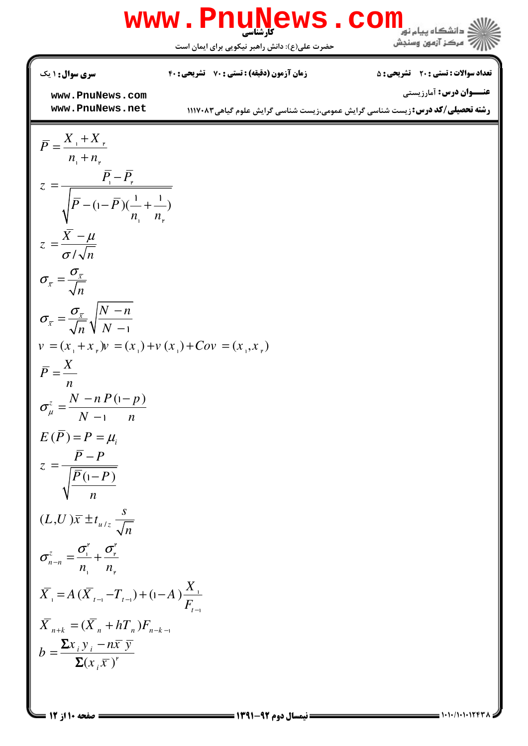

**[www.PnuNews.com](http://pnunews.com) [www.PnuNews.net](http://www.PnuNews.net)**

**رشته تحصیلی/کد درس:**زیست شناسی گرایش عمومی،زیست شناسی گرایش علوم گیاهی۱۱۱۷۰۸۳

**عنـــوان درس:** آمارزيستي

$$
\overline{P} = \frac{X_{+} + X_{+}}{n_{+} + n_{+}}
$$
\n
$$
z = \frac{\overline{P_{-}} - \overline{P_{+}}}{\sqrt{\overline{P_{-}} (1 - \overline{P})(\frac{1}{n_{+}} + \frac{1}{n_{+}})}}
$$
\n
$$
z = \frac{\overline{X} - \mu}{\sigma/\sqrt{n}}
$$
\n
$$
\sigma_{\overline{x}} = \frac{\sigma_{\overline{x}}}{\sqrt{n}}
$$
\n
$$
\sigma_{\overline{x}} = \frac{\sigma_{\overline{x}}}{\sqrt{n}} \sqrt{\frac{N - n}{N - 1}}
$$
\n
$$
v = (x_{+} + x_{+})v = (x_{+}) + v(x_{+}) + Cov = (x_{+}, x_{+})
$$
\n
$$
\overline{P} = \frac{X}{n}
$$
\n
$$
\sigma_{\mu}^{z} = \frac{N - n P(1 - p)}{N - 1} \quad n
$$
\n
$$
E(\overline{P}) = P = \mu_{i}
$$
\n
$$
z = \frac{\overline{P} - P}{\sqrt{\frac{\overline{P}(1 - P)}{n}}}
$$
\n
$$
(L, U) \overline{x} \pm t_{u/z} \frac{s}{\sqrt{n}}
$$
\n
$$
\sigma_{n-n}^{z} = \frac{\sigma_{i}^{x}}{n_{+}} + \frac{\sigma_{i}^{y}}{n_{+}}
$$
\n
$$
\overline{X}_{-1} = A(\overline{X}_{t-1} - T_{t-1}) + (1 - A) \frac{X_{-1}}{F_{t-1}}
$$
\n
$$
\overline{X}_{n+k} = (\overline{X}_{n} + hT_{n})F_{n-k-1}
$$
\n
$$
b = \frac{\sum x_{i} y_{i} - n\overline{x} \overline{y}}{\sum (x_{i} \overline{x})^{y}}
$$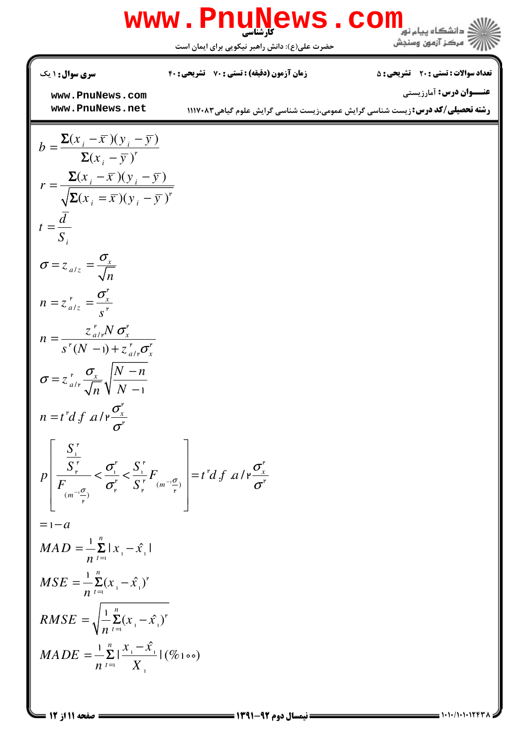